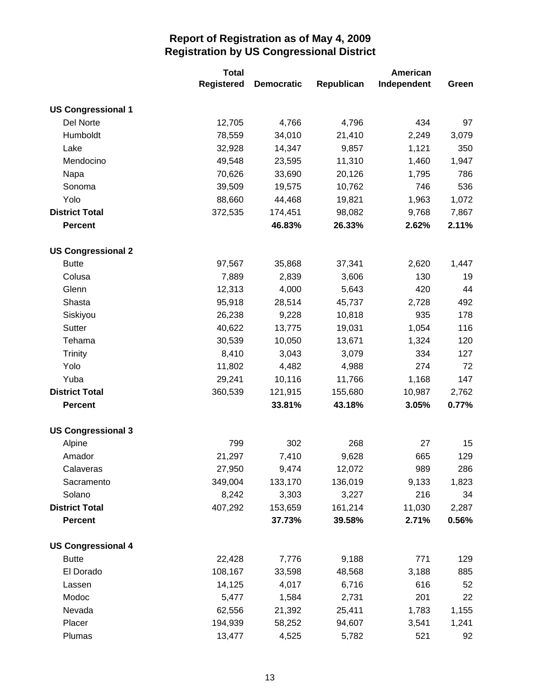|                           | <b>Total</b>      |                   |            | American    |       |  |
|---------------------------|-------------------|-------------------|------------|-------------|-------|--|
|                           | <b>Registered</b> | <b>Democratic</b> | Republican | Independent | Green |  |
| <b>US Congressional 1</b> |                   |                   |            |             |       |  |
| <b>Del Norte</b>          | 12,705            | 4,766             | 4,796      | 434         | 97    |  |
| Humboldt                  | 78,559            | 34,010            | 21,410     | 2,249       | 3,079 |  |
| Lake                      | 32,928            | 14,347            | 9,857      | 1,121       | 350   |  |
| Mendocino                 | 49,548            | 23,595            | 11,310     | 1,460       | 1,947 |  |
| Napa                      | 70,626            | 33,690            | 20,126     | 1,795       | 786   |  |
| Sonoma                    | 39,509            | 19,575            | 10,762     | 746         | 536   |  |
| Yolo                      | 88,660            | 44,468            | 19,821     | 1,963       | 1,072 |  |
| <b>District Total</b>     | 372,535           | 174,451           | 98,082     | 9,768       | 7,867 |  |
| <b>Percent</b>            |                   | 46.83%            | 26.33%     | 2.62%       | 2.11% |  |
| <b>US Congressional 2</b> |                   |                   |            |             |       |  |
| <b>Butte</b>              | 97,567            | 35,868            | 37,341     | 2,620       | 1,447 |  |
| Colusa                    | 7,889             | 2,839             | 3,606      | 130         | 19    |  |
| Glenn                     | 12,313            | 4,000             | 5,643      | 420         | 44    |  |
| Shasta                    | 95,918            | 28,514            | 45,737     | 2,728       | 492   |  |
| Siskiyou                  | 26,238            | 9,228             | 10,818     | 935         | 178   |  |
| Sutter                    | 40,622            | 13,775            | 19,031     | 1,054       | 116   |  |
| Tehama                    | 30,539            | 10,050            | 13,671     | 1,324       | 120   |  |
| <b>Trinity</b>            | 8,410             | 3,043             | 3,079      | 334         | 127   |  |
| Yolo                      | 11,802            | 4,482             | 4,988      | 274         | 72    |  |
| Yuba                      | 29,241            | 10,116            | 11,766     | 1,168       | 147   |  |
| <b>District Total</b>     | 360,539           | 121,915           | 155,680    | 10,987      | 2,762 |  |
| <b>Percent</b>            |                   | 33.81%            | 43.18%     | 3.05%       | 0.77% |  |
| <b>US Congressional 3</b> |                   |                   |            |             |       |  |
| Alpine                    | 799               | 302               | 268        | 27          | 15    |  |
| Amador                    | 21,297            | 7,410             | 9,628      | 665         | 129   |  |
| Calaveras                 | 27,950            | 9,474             | 12,072     | 989         | 286   |  |
| Sacramento                | 349,004           | 133,170           | 136,019    | 9,133       | 1,823 |  |
| Solano                    | 8,242             | 3,303             | 3,227      | 216         | 34    |  |
| <b>District Total</b>     | 407,292           | 153,659           | 161,214    | 11,030      | 2,287 |  |
| <b>Percent</b>            |                   | 37.73%            | 39.58%     | 2.71%       | 0.56% |  |
| <b>US Congressional 4</b> |                   |                   |            |             |       |  |
| <b>Butte</b>              | 22,428            | 7,776             | 9,188      | 771         | 129   |  |
| El Dorado                 | 108,167           | 33,598            | 48,568     | 3,188       | 885   |  |
| Lassen                    | 14,125            | 4,017             | 6,716      | 616         | 52    |  |
| Modoc                     | 5,477             | 1,584             | 2,731      | 201         | 22    |  |
| Nevada                    | 62,556            | 21,392            | 25,411     | 1,783       | 1,155 |  |
| Placer                    | 194,939           | 58,252            | 94,607     | 3,541       | 1,241 |  |
| Plumas                    | 13,477            | 4,525             | 5,782      | 521         | 92    |  |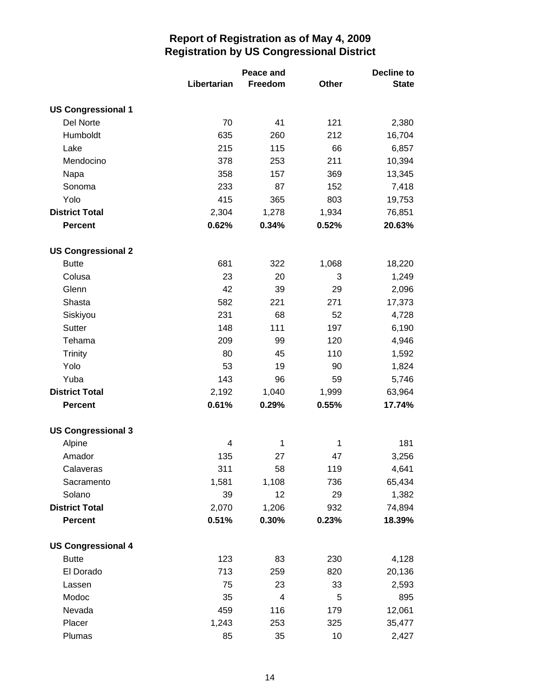|                           |             | Peace and   |              | Decline to   |  |
|---------------------------|-------------|-------------|--------------|--------------|--|
|                           | Libertarian | Freedom     | <b>Other</b> | <b>State</b> |  |
| <b>US Congressional 1</b> |             |             |              |              |  |
| Del Norte                 | 70          | 41          | 121          | 2,380        |  |
| Humboldt                  | 635         | 260         | 212          | 16,704       |  |
| Lake                      | 215         | 115         | 66           | 6,857        |  |
| Mendocino                 | 378         | 253         | 211          | 10,394       |  |
| Napa                      | 358         | 157         | 369          | 13,345       |  |
| Sonoma                    | 233         | 87          | 152          | 7,418        |  |
| Yolo                      | 415         | 365         | 803          | 19,753       |  |
| <b>District Total</b>     | 2,304       | 1,278       | 1,934        | 76,851       |  |
| <b>Percent</b>            | 0.62%       | 0.34%       | 0.52%        | 20.63%       |  |
| <b>US Congressional 2</b> |             |             |              |              |  |
| <b>Butte</b>              | 681         | 322         | 1,068        | 18,220       |  |
| Colusa                    | 23          | 20          | 3            | 1,249        |  |
| Glenn                     | 42          | 39          | 29           | 2,096        |  |
| Shasta                    | 582         | 221         | 271          | 17,373       |  |
| Siskiyou                  | 231         | 68          | 52           | 4,728        |  |
| Sutter                    | 148         | 111         | 197          | 6,190        |  |
| Tehama                    | 209         | 99          | 120          | 4,946        |  |
| <b>Trinity</b>            | 80          | 45          | 110          | 1,592        |  |
| Yolo                      | 53          | 19          | 90           | 1,824        |  |
| Yuba                      | 143         | 96          | 59           | 5,746        |  |
| <b>District Total</b>     | 2,192       | 1,040       | 1,999        | 63,964       |  |
| <b>Percent</b>            | 0.61%       | 0.29%       | 0.55%        | 17.74%       |  |
| <b>US Congressional 3</b> |             |             |              |              |  |
| Alpine                    | 4           | $\mathbf 1$ | 1            | 181          |  |
| Amador                    | 135         | 27          | 47           | 3,256        |  |
| Calaveras                 | 311         | 58          | 119          | 4,641        |  |
| Sacramento                | 1,581       | 1,108       | 736          | 65,434       |  |
| Solano                    | 39          | 12          | 29           | 1,382        |  |
| <b>District Total</b>     | 2,070       | 1,206       | 932          | 74,894       |  |
| <b>Percent</b>            | 0.51%       | 0.30%       | 0.23%        | 18.39%       |  |
| <b>US Congressional 4</b> |             |             |              |              |  |
| <b>Butte</b>              | 123         | 83          | 230          | 4,128        |  |
| El Dorado                 | 713         | 259         | 820          | 20,136       |  |
| Lassen                    | 75          | 23          | 33           | 2,593        |  |
| Modoc                     | 35          | 4           | 5            | 895          |  |
| Nevada                    | 459         | 116         | 179          | 12,061       |  |
| Placer                    | 1,243       | 253         | 325          | 35,477       |  |
| Plumas                    | 85          | 35          | 10           | 2,427        |  |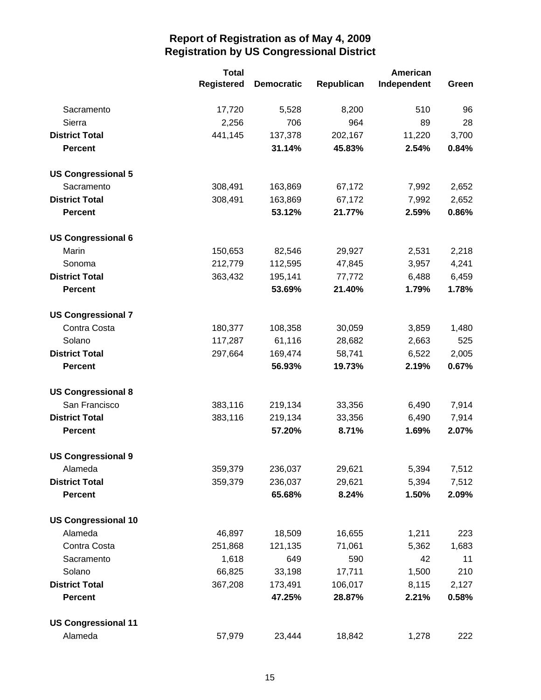|                            | <b>Total</b> |                   |            | American    |       |
|----------------------------|--------------|-------------------|------------|-------------|-------|
|                            | Registered   | <b>Democratic</b> | Republican | Independent | Green |
| Sacramento                 | 17,720       | 5,528             | 8,200      | 510         | 96    |
| Sierra                     | 2,256        | 706               | 964        | 89          | 28    |
| <b>District Total</b>      | 441,145      | 137,378           | 202,167    | 11,220      | 3,700 |
| <b>Percent</b>             |              | 31.14%            | 45.83%     | 2.54%       | 0.84% |
| <b>US Congressional 5</b>  |              |                   |            |             |       |
| Sacramento                 | 308,491      | 163,869           | 67,172     | 7,992       | 2,652 |
| <b>District Total</b>      | 308,491      | 163,869           | 67,172     | 7,992       | 2,652 |
| <b>Percent</b>             |              | 53.12%            | 21.77%     | 2.59%       | 0.86% |
| <b>US Congressional 6</b>  |              |                   |            |             |       |
| Marin                      | 150,653      | 82,546            | 29,927     | 2,531       | 2,218 |
| Sonoma                     | 212,779      | 112,595           | 47,845     | 3,957       | 4,241 |
| <b>District Total</b>      | 363,432      | 195,141           | 77,772     | 6,488       | 6,459 |
| <b>Percent</b>             |              | 53.69%            | 21.40%     | 1.79%       | 1.78% |
| <b>US Congressional 7</b>  |              |                   |            |             |       |
| Contra Costa               | 180,377      | 108,358           | 30,059     | 3,859       | 1,480 |
| Solano                     | 117,287      | 61,116            | 28,682     | 2,663       | 525   |
| <b>District Total</b>      | 297,664      | 169,474           | 58,741     | 6,522       | 2,005 |
| <b>Percent</b>             |              | 56.93%            | 19.73%     | 2.19%       | 0.67% |
| <b>US Congressional 8</b>  |              |                   |            |             |       |
| San Francisco              | 383,116      | 219,134           | 33,356     | 6,490       | 7,914 |
| <b>District Total</b>      | 383,116      | 219,134           | 33,356     | 6,490       | 7,914 |
| <b>Percent</b>             |              | 57.20%            | 8.71%      | 1.69%       | 2.07% |
| <b>US Congressional 9</b>  |              |                   |            |             |       |
| Alameda                    | 359,379      | 236,037           | 29,621     | 5,394       | 7,512 |
| <b>District Total</b>      | 359,379      | 236,037           | 29,621     | 5,394       | 7,512 |
| <b>Percent</b>             |              | 65.68%            | 8.24%      | 1.50%       | 2.09% |
| <b>US Congressional 10</b> |              |                   |            |             |       |
| Alameda                    | 46,897       | 18,509            | 16,655     | 1,211       | 223   |
| Contra Costa               | 251,868      | 121,135           | 71,061     | 5,362       | 1,683 |
| Sacramento                 | 1,618        | 649               | 590        | 42          | 11    |
| Solano                     | 66,825       | 33,198            | 17,711     | 1,500       | 210   |
| <b>District Total</b>      | 367,208      | 173,491           | 106,017    | 8,115       | 2,127 |
| <b>Percent</b>             |              | 47.25%            | 28.87%     | 2.21%       | 0.58% |
| <b>US Congressional 11</b> |              |                   |            |             |       |
| Alameda                    | 57,979       | 23,444            | 18,842     | 1,278       | 222   |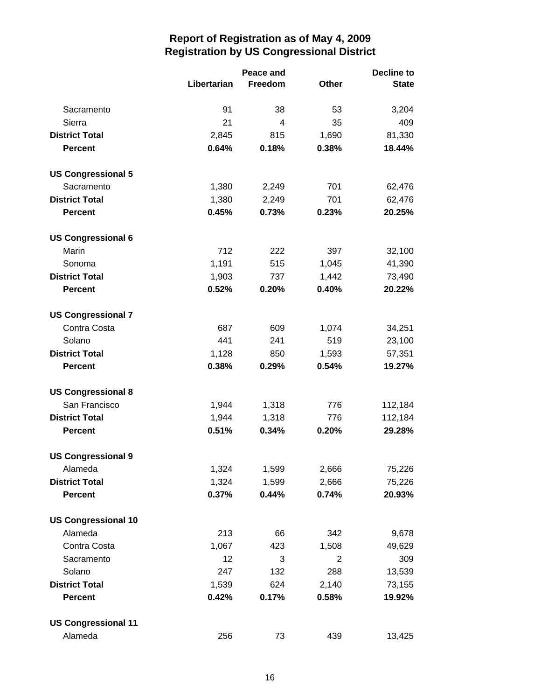|                            |             | Peace and      |              | <b>Decline to</b> |
|----------------------------|-------------|----------------|--------------|-------------------|
|                            | Libertarian | Freedom        | <b>Other</b> | <b>State</b>      |
| Sacramento                 | 91          | 38             | 53           | 3,204             |
| Sierra                     | 21          | $\overline{4}$ | 35           | 409               |
| <b>District Total</b>      | 2,845       | 815            | 1,690        | 81,330            |
| <b>Percent</b>             | 0.64%       | 0.18%          | 0.38%        | 18.44%            |
| <b>US Congressional 5</b>  |             |                |              |                   |
| Sacramento                 | 1,380       | 2,249          | 701          | 62,476            |
| <b>District Total</b>      | 1,380       | 2,249          | 701          | 62,476            |
| <b>Percent</b>             | 0.45%       | 0.73%          | 0.23%        | 20.25%            |
| <b>US Congressional 6</b>  |             |                |              |                   |
| Marin                      | 712         | 222            | 397          | 32,100            |
| Sonoma                     | 1,191       | 515            | 1,045        | 41,390            |
| <b>District Total</b>      | 1,903       | 737            | 1,442        | 73,490            |
| <b>Percent</b>             | 0.52%       | 0.20%          | 0.40%        | 20.22%            |
| <b>US Congressional 7</b>  |             |                |              |                   |
| Contra Costa               | 687         | 609            | 1,074        | 34,251            |
| Solano                     | 441         | 241            | 519          | 23,100            |
| <b>District Total</b>      | 1,128       | 850            | 1,593        | 57,351            |
| <b>Percent</b>             | 0.38%       | 0.29%          | 0.54%        | 19.27%            |
| <b>US Congressional 8</b>  |             |                |              |                   |
| San Francisco              | 1,944       | 1,318          | 776          | 112,184           |
| <b>District Total</b>      | 1,944       | 1,318          | 776          | 112,184           |
| <b>Percent</b>             | 0.51%       | 0.34%          | 0.20%        | 29.28%            |
| <b>US Congressional 9</b>  |             |                |              |                   |
| Alameda                    | 1,324       | 1,599          | 2,666        | 75,226            |
| <b>District Total</b>      | 1,324       | 1,599          | 2,666        | 75,226            |
| <b>Percent</b>             | 0.37%       | 0.44%          | 0.74%        | 20.93%            |
| <b>US Congressional 10</b> |             |                |              |                   |
| Alameda                    | 213         | 66             | 342          | 9,678             |
| Contra Costa               | 1,067       | 423            | 1,508        | 49,629            |
| Sacramento                 | 12          | 3              | 2            | 309               |
| Solano                     | 247         | 132            | 288          | 13,539            |
| <b>District Total</b>      | 1,539       | 624            | 2,140        | 73,155            |
| <b>Percent</b>             | 0.42%       | 0.17%          | 0.58%        | 19.92%            |
| <b>US Congressional 11</b> |             |                |              |                   |
| Alameda                    | 256         | 73             | 439          | 13,425            |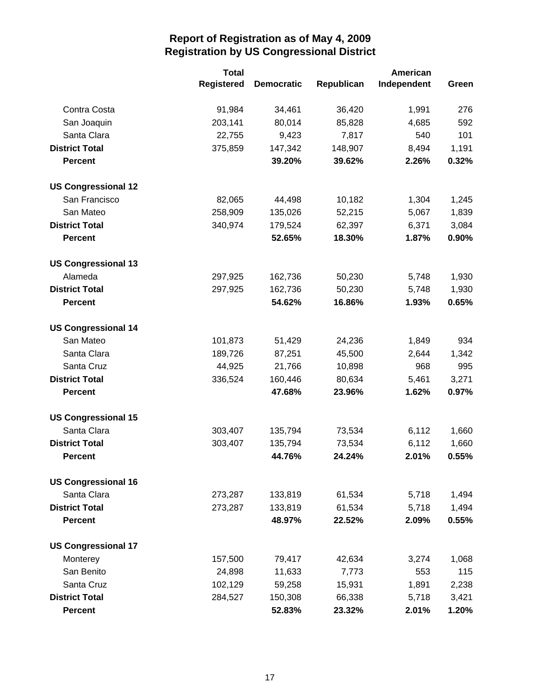|                            | <b>Total</b>      |                   |            | <b>American</b> |       |  |
|----------------------------|-------------------|-------------------|------------|-----------------|-------|--|
|                            | <b>Registered</b> | <b>Democratic</b> | Republican | Independent     | Green |  |
| Contra Costa               | 91,984            | 34,461            | 36,420     | 1,991           | 276   |  |
| San Joaquin                | 203,141           | 80,014            | 85,828     | 4,685           | 592   |  |
| Santa Clara                | 22,755            | 9,423             | 7,817      | 540             | 101   |  |
| <b>District Total</b>      | 375,859           | 147,342           | 148,907    | 8,494           | 1,191 |  |
| <b>Percent</b>             |                   | 39.20%            | 39.62%     | 2.26%           | 0.32% |  |
| <b>US Congressional 12</b> |                   |                   |            |                 |       |  |
| San Francisco              | 82,065            | 44,498            | 10,182     | 1,304           | 1,245 |  |
| San Mateo                  | 258,909           | 135,026           | 52,215     | 5,067           | 1,839 |  |
| <b>District Total</b>      | 340,974           | 179,524           | 62,397     | 6,371           | 3,084 |  |
| <b>Percent</b>             |                   | 52.65%            | 18.30%     | 1.87%           | 0.90% |  |
| <b>US Congressional 13</b> |                   |                   |            |                 |       |  |
| Alameda                    | 297,925           | 162,736           | 50,230     | 5,748           | 1,930 |  |
| <b>District Total</b>      | 297,925           | 162,736           | 50,230     | 5,748           | 1,930 |  |
| <b>Percent</b>             |                   | 54.62%            | 16.86%     | 1.93%           | 0.65% |  |
| <b>US Congressional 14</b> |                   |                   |            |                 |       |  |
| San Mateo                  | 101,873           | 51,429            | 24,236     | 1,849           | 934   |  |
| Santa Clara                | 189,726           | 87,251            | 45,500     | 2,644           | 1,342 |  |
| Santa Cruz                 | 44,925            | 21,766            | 10,898     | 968             | 995   |  |
| <b>District Total</b>      | 336,524           | 160,446           | 80,634     | 5,461           | 3,271 |  |
| <b>Percent</b>             |                   | 47.68%            | 23.96%     | 1.62%           | 0.97% |  |
| <b>US Congressional 15</b> |                   |                   |            |                 |       |  |
| Santa Clara                | 303,407           | 135,794           | 73,534     | 6,112           | 1,660 |  |
| <b>District Total</b>      | 303,407           | 135,794           | 73,534     | 6,112           | 1,660 |  |
| <b>Percent</b>             |                   | 44.76%            | 24.24%     | 2.01%           | 0.55% |  |
| <b>US Congressional 16</b> |                   |                   |            |                 |       |  |
| Santa Clara                | 273,287           | 133,819           | 61,534     | 5,718           | 1,494 |  |
| <b>District Total</b>      | 273,287           | 133,819           | 61,534     | 5,718           | 1,494 |  |
| <b>Percent</b>             |                   | 48.97%            | 22.52%     | 2.09%           | 0.55% |  |
| <b>US Congressional 17</b> |                   |                   |            |                 |       |  |
| Monterey                   | 157,500           | 79,417            | 42,634     | 3,274           | 1,068 |  |
| San Benito                 | 24,898            | 11,633            | 7,773      | 553             | 115   |  |
| Santa Cruz                 | 102,129           | 59,258            | 15,931     | 1,891           | 2,238 |  |
| <b>District Total</b>      | 284,527           | 150,308           | 66,338     | 5,718           | 3,421 |  |
| <b>Percent</b>             |                   | 52.83%            | 23.32%     | 2.01%           | 1.20% |  |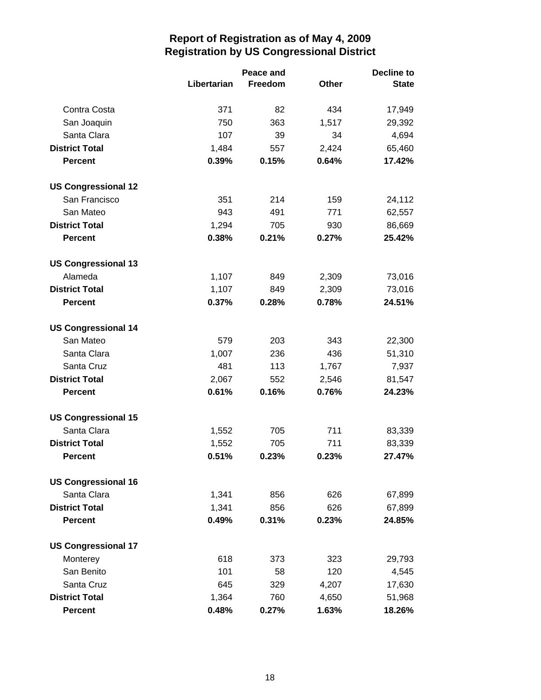|                            |             | Peace and |              | <b>Decline to</b> |  |
|----------------------------|-------------|-----------|--------------|-------------------|--|
|                            | Libertarian | Freedom   | <b>Other</b> | <b>State</b>      |  |
| Contra Costa               | 371         | 82        | 434          | 17,949            |  |
| San Joaquin                | 750         | 363       | 1,517        | 29,392            |  |
| Santa Clara                | 107         | 39        | 34           | 4,694             |  |
| <b>District Total</b>      | 1,484       | 557       | 2,424        | 65,460            |  |
| <b>Percent</b>             | 0.39%       | 0.15%     | 0.64%        | 17.42%            |  |
| <b>US Congressional 12</b> |             |           |              |                   |  |
| San Francisco              | 351         | 214       | 159          | 24,112            |  |
| San Mateo                  | 943         | 491       | 771          | 62,557            |  |
| <b>District Total</b>      | 1,294       | 705       | 930          | 86,669            |  |
| <b>Percent</b>             | 0.38%       | 0.21%     | 0.27%        | 25.42%            |  |
| <b>US Congressional 13</b> |             |           |              |                   |  |
| Alameda                    | 1,107       | 849       | 2,309        | 73,016            |  |
| <b>District Total</b>      | 1,107       | 849       | 2,309        | 73,016            |  |
| <b>Percent</b>             | 0.37%       | 0.28%     | 0.78%        | 24.51%            |  |
| <b>US Congressional 14</b> |             |           |              |                   |  |
| San Mateo                  | 579         | 203       | 343          | 22,300            |  |
| Santa Clara                | 1,007       | 236       | 436          | 51,310            |  |
| Santa Cruz                 | 481         | 113       | 1,767        | 7,937             |  |
| <b>District Total</b>      | 2,067       | 552       | 2,546        | 81,547            |  |
| <b>Percent</b>             | 0.61%       | 0.16%     | 0.76%        | 24.23%            |  |
| <b>US Congressional 15</b> |             |           |              |                   |  |
| Santa Clara                | 1,552       | 705       | 711          | 83,339            |  |
| <b>District Total</b>      | 1,552       | 705       | 711          | 83,339            |  |
| <b>Percent</b>             | 0.51%       | 0.23%     | 0.23%        | 27.47%            |  |
| <b>US Congressional 16</b> |             |           |              |                   |  |
| Santa Clara                | 1,341       | 856       | 626          | 67,899            |  |
| <b>District Total</b>      | 1,341       | 856       | 626          | 67,899            |  |
| <b>Percent</b>             | 0.49%       | 0.31%     | 0.23%        | 24.85%            |  |
| <b>US Congressional 17</b> |             |           |              |                   |  |
| Monterey                   | 618         | 373       | 323          | 29,793            |  |
| San Benito                 | 101         | 58        | 120          | 4,545             |  |
| Santa Cruz                 | 645         | 329       | 4,207        | 17,630            |  |
| <b>District Total</b>      | 1,364       | 760       | 4,650        | 51,968            |  |
| <b>Percent</b>             | 0.48%       | 0.27%     | 1.63%        | 18.26%            |  |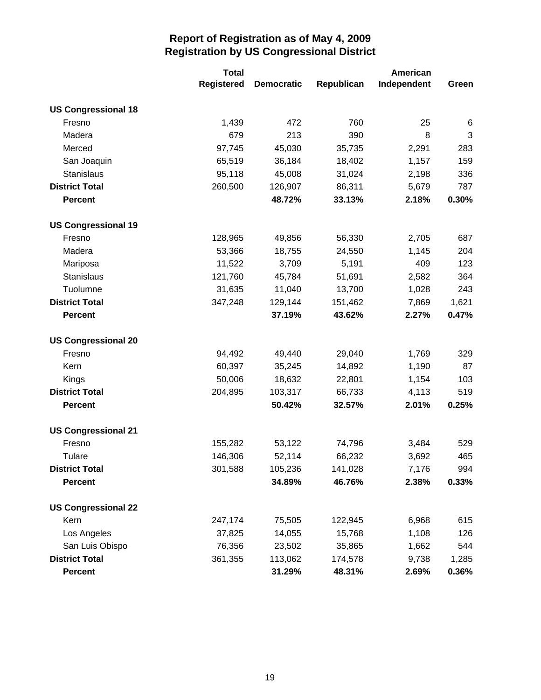|                            | <b>Total</b>      |                   |            | American    |       |  |
|----------------------------|-------------------|-------------------|------------|-------------|-------|--|
|                            | <b>Registered</b> | <b>Democratic</b> | Republican | Independent | Green |  |
| <b>US Congressional 18</b> |                   |                   |            |             |       |  |
| Fresno                     | 1,439             | 472               | 760        | 25          | 6     |  |
| Madera                     | 679               | 213               | 390        | 8           | 3     |  |
| Merced                     | 97,745            | 45,030            | 35,735     | 2,291       | 283   |  |
| San Joaquin                | 65,519            | 36,184            | 18,402     | 1,157       | 159   |  |
| Stanislaus                 | 95,118            | 45,008            | 31,024     | 2,198       | 336   |  |
| <b>District Total</b>      | 260,500           | 126,907           | 86,311     | 5,679       | 787   |  |
| <b>Percent</b>             |                   | 48.72%            | 33.13%     | 2.18%       | 0.30% |  |
| <b>US Congressional 19</b> |                   |                   |            |             |       |  |
| Fresno                     | 128,965           | 49,856            | 56,330     | 2,705       | 687   |  |
| Madera                     | 53,366            | 18,755            | 24,550     | 1,145       | 204   |  |
| Mariposa                   | 11,522            | 3,709             | 5,191      | 409         | 123   |  |
| Stanislaus                 | 121,760           | 45,784            | 51,691     | 2,582       | 364   |  |
| Tuolumne                   | 31,635            | 11,040            | 13,700     | 1,028       | 243   |  |
| <b>District Total</b>      | 347,248           | 129,144           | 151,462    | 7,869       | 1,621 |  |
| <b>Percent</b>             |                   | 37.19%            | 43.62%     | 2.27%       | 0.47% |  |
| <b>US Congressional 20</b> |                   |                   |            |             |       |  |
| Fresno                     | 94,492            | 49,440            | 29,040     | 1,769       | 329   |  |
| Kern                       | 60,397            | 35,245            | 14,892     | 1,190       | 87    |  |
| Kings                      | 50,006            | 18,632            | 22,801     | 1,154       | 103   |  |
| <b>District Total</b>      | 204,895           | 103,317           | 66,733     | 4,113       | 519   |  |
| <b>Percent</b>             |                   | 50.42%            | 32.57%     | 2.01%       | 0.25% |  |
| <b>US Congressional 21</b> |                   |                   |            |             |       |  |
| Fresno                     | 155,282           | 53,122            | 74,796     | 3,484       | 529   |  |
| Tulare                     | 146,306           | 52,114            | 66,232     | 3,692       | 465   |  |
| <b>District Total</b>      | 301,588           | 105,236           | 141,028    | 7,176       | 994   |  |
| <b>Percent</b>             |                   | 34.89%            | 46.76%     | 2.38%       | 0.33% |  |
| <b>US Congressional 22</b> |                   |                   |            |             |       |  |
| Kern                       | 247,174           | 75,505            | 122,945    | 6,968       | 615   |  |
| Los Angeles                | 37,825            | 14,055            | 15,768     | 1,108       | 126   |  |
| San Luis Obispo            | 76,356            | 23,502            | 35,865     | 1,662       | 544   |  |
| <b>District Total</b>      | 361,355           | 113,062           | 174,578    | 9,738       | 1,285 |  |
| <b>Percent</b>             |                   | 31.29%            | 48.31%     | 2.69%       | 0.36% |  |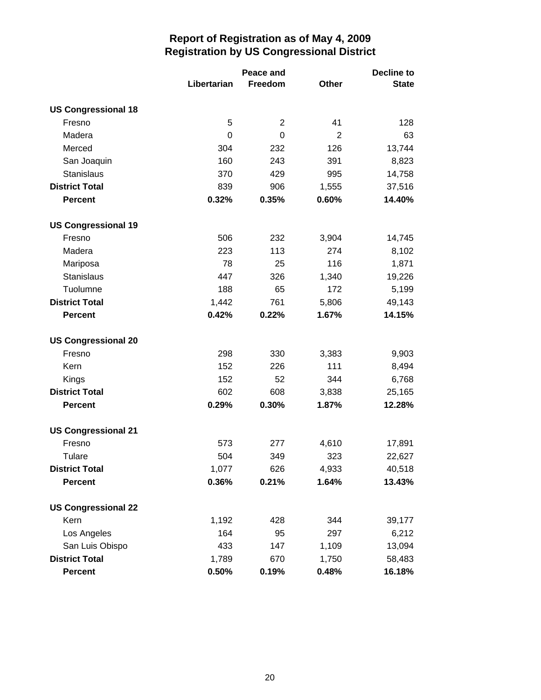|                            | Peace and   |                |                | <b>Decline to</b> |  |
|----------------------------|-------------|----------------|----------------|-------------------|--|
|                            | Libertarian | Freedom        | <b>Other</b>   | <b>State</b>      |  |
| <b>US Congressional 18</b> |             |                |                |                   |  |
| Fresno                     | 5           | 2              | 41             | 128               |  |
| Madera                     | 0           | $\overline{0}$ | $\overline{2}$ | 63                |  |
| Merced                     | 304         | 232            | 126            | 13,744            |  |
| San Joaquin                | 160         | 243            | 391            | 8,823             |  |
| Stanislaus                 | 370         | 429            | 995            | 14,758            |  |
| <b>District Total</b>      | 839         | 906            | 1,555          | 37,516            |  |
| <b>Percent</b>             | 0.32%       | 0.35%          | 0.60%          | 14.40%            |  |
| <b>US Congressional 19</b> |             |                |                |                   |  |
| Fresno                     | 506         | 232            | 3,904          | 14,745            |  |
| Madera                     | 223         | 113            | 274            | 8,102             |  |
| Mariposa                   | 78          | 25             | 116            | 1,871             |  |
| Stanislaus                 | 447         | 326            | 1,340          | 19,226            |  |
| Tuolumne                   | 188         | 65             | 172            | 5,199             |  |
| <b>District Total</b>      | 1,442       | 761            | 5,806          | 49,143            |  |
| <b>Percent</b>             | 0.42%       | 0.22%          | 1.67%          | 14.15%            |  |
| <b>US Congressional 20</b> |             |                |                |                   |  |
| Fresno                     | 298         | 330            | 3,383          | 9,903             |  |
| Kern                       | 152         | 226            | 111            | 8,494             |  |
| Kings                      | 152         | 52             | 344            | 6,768             |  |
| <b>District Total</b>      | 602         | 608            | 3,838          | 25,165            |  |
| <b>Percent</b>             | 0.29%       | 0.30%          | 1.87%          | 12.28%            |  |
| <b>US Congressional 21</b> |             |                |                |                   |  |
| Fresno                     | 573         | 277            | 4,610          | 17,891            |  |
| Tulare                     | 504         | 349            | 323            | 22,627            |  |
| <b>District Total</b>      | 1,077       | 626            | 4,933          | 40,518            |  |
| <b>Percent</b>             | 0.36%       | 0.21%          | 1.64%          | 13.43%            |  |
| <b>US Congressional 22</b> |             |                |                |                   |  |
| Kern                       | 1,192       | 428            | 344            | 39,177            |  |
| Los Angeles                | 164         | 95             | 297            | 6,212             |  |
| San Luis Obispo            | 433         | 147            | 1,109          | 13,094            |  |
| <b>District Total</b>      | 1,789       | 670            | 1,750          | 58,483            |  |
| <b>Percent</b>             | 0.50%       | 0.19%          | 0.48%          | 16.18%            |  |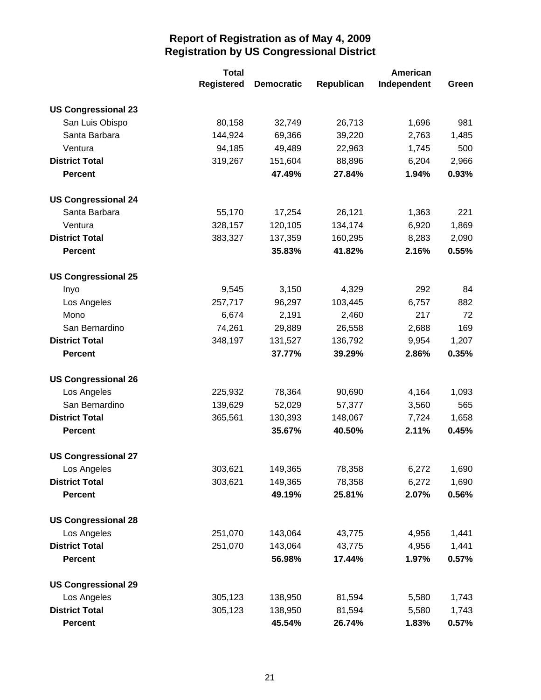|                            | <b>Total</b>      |                   |            | American    |       |  |
|----------------------------|-------------------|-------------------|------------|-------------|-------|--|
|                            | <b>Registered</b> | <b>Democratic</b> | Republican | Independent | Green |  |
| <b>US Congressional 23</b> |                   |                   |            |             |       |  |
| San Luis Obispo            | 80,158            | 32,749            | 26,713     | 1,696       | 981   |  |
| Santa Barbara              | 144,924           | 69,366            | 39,220     | 2,763       | 1,485 |  |
| Ventura                    | 94,185            | 49,489            | 22,963     | 1,745       | 500   |  |
| <b>District Total</b>      | 319,267           | 151,604           | 88,896     | 6,204       | 2,966 |  |
| <b>Percent</b>             |                   | 47.49%            | 27.84%     | 1.94%       | 0.93% |  |
| <b>US Congressional 24</b> |                   |                   |            |             |       |  |
| Santa Barbara              | 55,170            | 17,254            | 26,121     | 1,363       | 221   |  |
| Ventura                    | 328,157           | 120,105           | 134,174    | 6,920       | 1,869 |  |
| <b>District Total</b>      | 383,327           | 137,359           | 160,295    | 8,283       | 2,090 |  |
| <b>Percent</b>             |                   | 35.83%            | 41.82%     | 2.16%       | 0.55% |  |
| <b>US Congressional 25</b> |                   |                   |            |             |       |  |
| Inyo                       | 9,545             | 3,150             | 4,329      | 292         | 84    |  |
| Los Angeles                | 257,717           | 96,297            | 103,445    | 6,757       | 882   |  |
| Mono                       | 6,674             | 2,191             | 2,460      | 217         | 72    |  |
| San Bernardino             | 74,261            | 29,889            | 26,558     | 2,688       | 169   |  |
| <b>District Total</b>      | 348,197           | 131,527           | 136,792    | 9,954       | 1,207 |  |
| <b>Percent</b>             |                   | 37.77%            | 39.29%     | 2.86%       | 0.35% |  |
| <b>US Congressional 26</b> |                   |                   |            |             |       |  |
| Los Angeles                | 225,932           | 78,364            | 90,690     | 4,164       | 1,093 |  |
| San Bernardino             | 139,629           | 52,029            | 57,377     | 3,560       | 565   |  |
| <b>District Total</b>      | 365,561           | 130,393           | 148,067    | 7,724       | 1,658 |  |
| <b>Percent</b>             |                   | 35.67%            | 40.50%     | 2.11%       | 0.45% |  |
| <b>US Congressional 27</b> |                   |                   |            |             |       |  |
| Los Angeles                | 303,621           | 149,365           | 78,358     | 6,272       | 1,690 |  |
| <b>District Total</b>      | 303,621           | 149,365           | 78,358     | 6,272       | 1,690 |  |
| <b>Percent</b>             |                   | 49.19%            | 25.81%     | 2.07%       | 0.56% |  |
| <b>US Congressional 28</b> |                   |                   |            |             |       |  |
| Los Angeles                | 251,070           | 143,064           | 43,775     | 4,956       | 1,441 |  |
| <b>District Total</b>      | 251,070           | 143,064           | 43,775     | 4,956       | 1,441 |  |
| <b>Percent</b>             |                   | 56.98%            | 17.44%     | 1.97%       | 0.57% |  |
| <b>US Congressional 29</b> |                   |                   |            |             |       |  |
| Los Angeles                | 305,123           | 138,950           | 81,594     | 5,580       | 1,743 |  |
| <b>District Total</b>      | 305,123           | 138,950           | 81,594     | 5,580       | 1,743 |  |
| <b>Percent</b>             |                   | 45.54%            | 26.74%     | 1.83%       | 0.57% |  |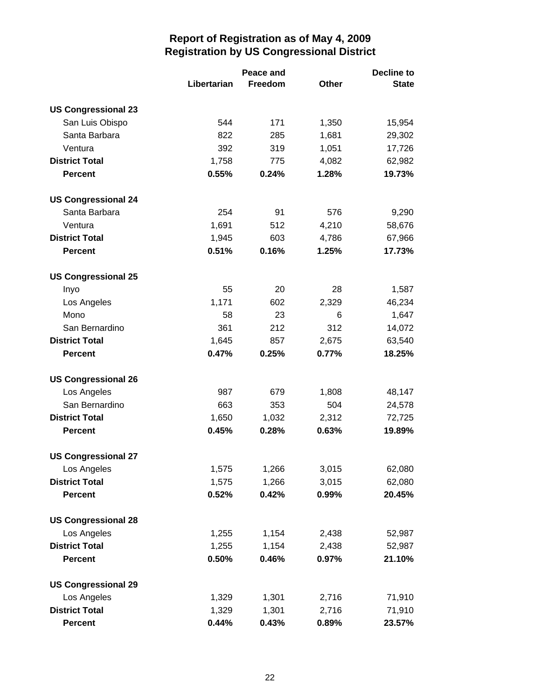|                            | Peace and   |         |       | <b>Decline to</b> |  |
|----------------------------|-------------|---------|-------|-------------------|--|
|                            | Libertarian | Freedom | Other | <b>State</b>      |  |
| <b>US Congressional 23</b> |             |         |       |                   |  |
| San Luis Obispo            | 544         | 171     | 1,350 | 15,954            |  |
| Santa Barbara              | 822         | 285     | 1,681 | 29,302            |  |
| Ventura                    | 392         | 319     | 1,051 | 17,726            |  |
| <b>District Total</b>      | 1,758       | 775     | 4,082 | 62,982            |  |
| <b>Percent</b>             | 0.55%       | 0.24%   | 1.28% | 19.73%            |  |
| <b>US Congressional 24</b> |             |         |       |                   |  |
| Santa Barbara              | 254         | 91      | 576   | 9,290             |  |
| Ventura                    | 1,691       | 512     | 4,210 | 58,676            |  |
| <b>District Total</b>      | 1,945       | 603     | 4,786 | 67,966            |  |
| <b>Percent</b>             | 0.51%       | 0.16%   | 1.25% | 17.73%            |  |
| <b>US Congressional 25</b> |             |         |       |                   |  |
| Inyo                       | 55          | 20      | 28    | 1,587             |  |
| Los Angeles                | 1,171       | 602     | 2,329 | 46,234            |  |
| Mono                       | 58          | 23      | 6     | 1,647             |  |
| San Bernardino             | 361         | 212     | 312   | 14,072            |  |
| <b>District Total</b>      | 1,645       | 857     | 2,675 | 63,540            |  |
| <b>Percent</b>             | 0.47%       | 0.25%   | 0.77% | 18.25%            |  |
| <b>US Congressional 26</b> |             |         |       |                   |  |
| Los Angeles                | 987         | 679     | 1,808 | 48,147            |  |
| San Bernardino             | 663         | 353     | 504   | 24,578            |  |
| <b>District Total</b>      | 1,650       | 1,032   | 2,312 | 72,725            |  |
| <b>Percent</b>             | 0.45%       | 0.28%   | 0.63% | 19.89%            |  |
| <b>US Congressional 27</b> |             |         |       |                   |  |
| Los Angeles                | 1,575       | 1,266   | 3,015 | 62,080            |  |
| <b>District Total</b>      | 1,575       | 1,266   | 3,015 | 62,080            |  |
| <b>Percent</b>             | 0.52%       | 0.42%   | 0.99% | 20.45%            |  |
| <b>US Congressional 28</b> |             |         |       |                   |  |
| Los Angeles                | 1,255       | 1,154   | 2,438 | 52,987            |  |
| <b>District Total</b>      | 1,255       | 1,154   | 2,438 | 52,987            |  |
| <b>Percent</b>             | 0.50%       | 0.46%   | 0.97% | 21.10%            |  |
| <b>US Congressional 29</b> |             |         |       |                   |  |
| Los Angeles                | 1,329       | 1,301   | 2,716 | 71,910            |  |
| <b>District Total</b>      | 1,329       | 1,301   | 2,716 | 71,910            |  |
| <b>Percent</b>             | 0.44%       | 0.43%   | 0.89% | 23.57%            |  |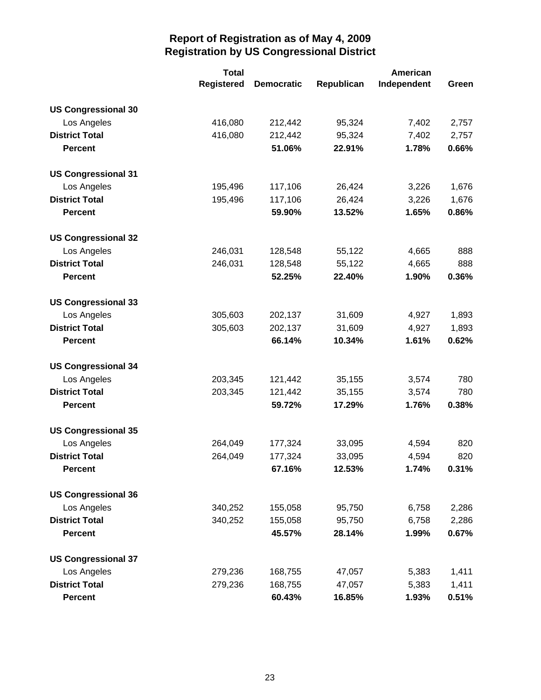|                            | <b>Total</b>      |                   |            | American    |       |
|----------------------------|-------------------|-------------------|------------|-------------|-------|
|                            | <b>Registered</b> | <b>Democratic</b> | Republican | Independent | Green |
| <b>US Congressional 30</b> |                   |                   |            |             |       |
| Los Angeles                | 416,080           | 212,442           | 95,324     | 7,402       | 2,757 |
| <b>District Total</b>      | 416,080           | 212,442           | 95,324     | 7,402       | 2,757 |
| <b>Percent</b>             |                   | 51.06%            | 22.91%     | 1.78%       | 0.66% |
| <b>US Congressional 31</b> |                   |                   |            |             |       |
| Los Angeles                | 195,496           | 117,106           | 26,424     | 3,226       | 1,676 |
| <b>District Total</b>      | 195,496           | 117,106           | 26,424     | 3,226       | 1,676 |
| <b>Percent</b>             |                   | 59.90%            | 13.52%     | 1.65%       | 0.86% |
| <b>US Congressional 32</b> |                   |                   |            |             |       |
| Los Angeles                | 246,031           | 128,548           | 55,122     | 4,665       | 888   |
| <b>District Total</b>      | 246,031           | 128,548           | 55,122     | 4,665       | 888   |
| <b>Percent</b>             |                   | 52.25%            | 22.40%     | 1.90%       | 0.36% |
| <b>US Congressional 33</b> |                   |                   |            |             |       |
| Los Angeles                | 305,603           | 202,137           | 31,609     | 4,927       | 1,893 |
| <b>District Total</b>      | 305,603           | 202,137           | 31,609     | 4,927       | 1,893 |
| <b>Percent</b>             |                   | 66.14%            | 10.34%     | 1.61%       | 0.62% |
| <b>US Congressional 34</b> |                   |                   |            |             |       |
| Los Angeles                | 203,345           | 121,442           | 35,155     | 3,574       | 780   |
| <b>District Total</b>      | 203,345           | 121,442           | 35,155     | 3,574       | 780   |
| <b>Percent</b>             |                   | 59.72%            | 17.29%     | 1.76%       | 0.38% |
| <b>US Congressional 35</b> |                   |                   |            |             |       |
| Los Angeles                | 264,049           | 177,324           | 33,095     | 4,594       | 820   |
| <b>District Total</b>      | 264,049           | 177,324           | 33,095     | 4,594       | 820   |
| <b>Percent</b>             |                   | 67.16%            | 12.53%     | 1.74%       | 0.31% |
| <b>US Congressional 36</b> |                   |                   |            |             |       |
| Los Angeles                | 340,252           | 155,058           | 95,750     | 6,758       | 2,286 |
| <b>District Total</b>      | 340,252           | 155,058           | 95,750     | 6,758       | 2,286 |
| <b>Percent</b>             |                   | 45.57%            | 28.14%     | 1.99%       | 0.67% |
| <b>US Congressional 37</b> |                   |                   |            |             |       |
| Los Angeles                | 279,236           | 168,755           | 47,057     | 5,383       | 1,411 |
| <b>District Total</b>      | 279,236           | 168,755           | 47,057     | 5,383       | 1,411 |
| <b>Percent</b>             |                   | 60.43%            | 16.85%     | 1.93%       | 0.51% |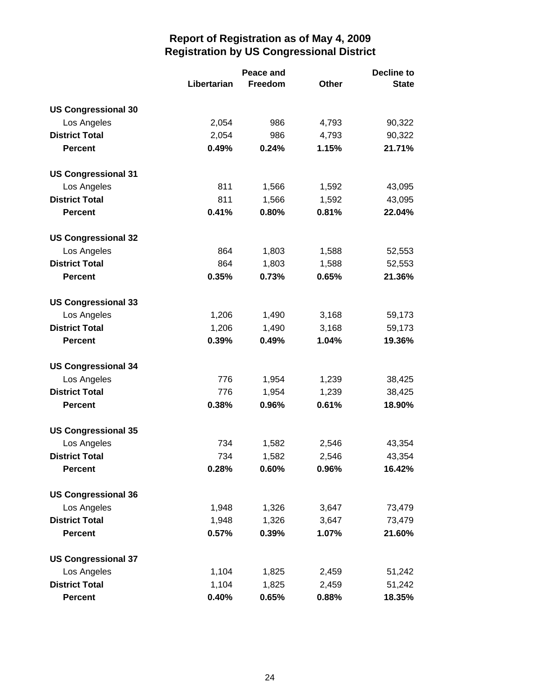|                            |             | Peace and | <b>Decline to</b> |              |  |
|----------------------------|-------------|-----------|-------------------|--------------|--|
|                            | Libertarian | Freedom   | <b>Other</b>      | <b>State</b> |  |
| <b>US Congressional 30</b> |             |           |                   |              |  |
| Los Angeles                | 2,054       | 986       | 4,793             | 90,322       |  |
| <b>District Total</b>      | 2,054       | 986       | 4,793             | 90,322       |  |
| <b>Percent</b>             | 0.49%       | 0.24%     | 1.15%             | 21.71%       |  |
| <b>US Congressional 31</b> |             |           |                   |              |  |
| Los Angeles                | 811         | 1,566     | 1,592             | 43,095       |  |
| <b>District Total</b>      | 811         | 1,566     | 1,592             | 43,095       |  |
| <b>Percent</b>             | 0.41%       | 0.80%     | 0.81%             | 22.04%       |  |
| <b>US Congressional 32</b> |             |           |                   |              |  |
| Los Angeles                | 864         | 1,803     | 1,588             | 52,553       |  |
| <b>District Total</b>      | 864         | 1,803     | 1,588             | 52,553       |  |
| <b>Percent</b>             | 0.35%       | 0.73%     | 0.65%             | 21.36%       |  |
| <b>US Congressional 33</b> |             |           |                   |              |  |
| Los Angeles                | 1,206       | 1,490     | 3,168             | 59,173       |  |
| <b>District Total</b>      | 1,206       | 1,490     | 3,168             | 59,173       |  |
| <b>Percent</b>             | 0.39%       | 0.49%     | 1.04%             | 19.36%       |  |
| <b>US Congressional 34</b> |             |           |                   |              |  |
| Los Angeles                | 776         | 1,954     | 1,239             | 38,425       |  |
| <b>District Total</b>      | 776         | 1,954     | 1,239             | 38,425       |  |
| <b>Percent</b>             | 0.38%       | 0.96%     | 0.61%             | 18.90%       |  |
| <b>US Congressional 35</b> |             |           |                   |              |  |
| Los Angeles                | 734         | 1,582     | 2,546             | 43,354       |  |
| <b>District Total</b>      | 734         | 1,582     | 2,546             | 43,354       |  |
| <b>Percent</b>             | 0.28%       | 0.60%     | 0.96%             | 16.42%       |  |
| <b>US Congressional 36</b> |             |           |                   |              |  |
| Los Angeles                | 1,948       | 1,326     | 3,647             | 73,479       |  |
| <b>District Total</b>      | 1,948       | 1,326     | 3,647             | 73,479       |  |
| <b>Percent</b>             | 0.57%       | 0.39%     | 1.07%             | 21.60%       |  |
| <b>US Congressional 37</b> |             |           |                   |              |  |
| Los Angeles                | 1,104       | 1,825     | 2,459             | 51,242       |  |
| <b>District Total</b>      | 1,104       | 1,825     | 2,459             | 51,242       |  |
| <b>Percent</b>             | 0.40%       | 0.65%     | 0.88%             | 18.35%       |  |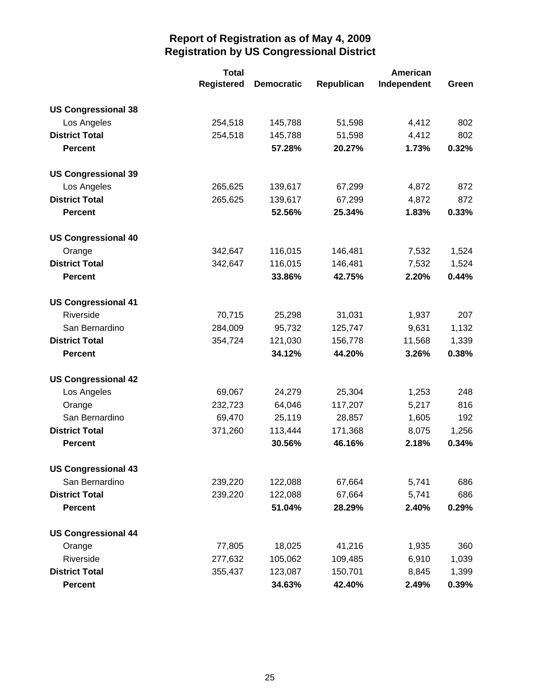|                            | <b>Total</b>      | American          |            |             |       |
|----------------------------|-------------------|-------------------|------------|-------------|-------|
|                            | <b>Registered</b> | <b>Democratic</b> | Republican | Independent | Green |
| <b>US Congressional 38</b> |                   |                   |            |             |       |
| Los Angeles                | 254,518           | 145,788           | 51,598     | 4,412       | 802   |
| <b>District Total</b>      | 254,518           | 145,788           | 51,598     | 4,412       | 802   |
| <b>Percent</b>             |                   | 57.28%            | 20.27%     | 1.73%       | 0.32% |
| <b>US Congressional 39</b> |                   |                   |            |             |       |
| Los Angeles                | 265,625           | 139,617           | 67,299     | 4,872       | 872   |
| <b>District Total</b>      | 265,625           | 139,617           | 67,299     | 4,872       | 872   |
| <b>Percent</b>             |                   | 52.56%            | 25.34%     | 1.83%       | 0.33% |
| <b>US Congressional 40</b> |                   |                   |            |             |       |
| Orange                     | 342,647           | 116,015           | 146,481    | 7,532       | 1,524 |
| <b>District Total</b>      | 342,647           | 116,015           | 146,481    | 7,532       | 1,524 |
| <b>Percent</b>             |                   | 33.86%            | 42.75%     | 2.20%       | 0.44% |
| <b>US Congressional 41</b> |                   |                   |            |             |       |
| Riverside                  | 70,715            | 25,298            | 31,031     | 1,937       | 207   |
| San Bernardino             | 284,009           | 95,732            | 125,747    | 9,631       | 1,132 |
| <b>District Total</b>      | 354,724           | 121,030           | 156,778    | 11,568      | 1,339 |
| <b>Percent</b>             |                   | 34.12%            | 44.20%     | 3.26%       | 0.38% |
| <b>US Congressional 42</b> |                   |                   |            |             |       |
| Los Angeles                | 69,067            | 24,279            | 25,304     | 1,253       | 248   |
| Orange                     | 232,723           | 64,046            | 117,207    | 5,217       | 816   |
| San Bernardino             | 69,470            | 25,119            | 28,857     | 1,605       | 192   |
| <b>District Total</b>      | 371,260           | 113,444           | 171,368    | 8,075       | 1,256 |
| <b>Percent</b>             |                   | 30.56%            | 46.16%     | 2.18%       | 0.34% |
| <b>US Congressional 43</b> |                   |                   |            |             |       |
| San Bernardino             | 239,220           | 122,088           | 67,664     | 5,741       | 686   |
| <b>District Total</b>      | 239,220           | 122,088           | 67,664     | 5,741       | 686   |
| <b>Percent</b>             |                   | 51.04%            | 28.29%     | 2.40%       | 0.29% |
| <b>US Congressional 44</b> |                   |                   |            |             |       |
| Orange                     | 77,805            | 18,025            | 41,216     | 1,935       | 360   |
| Riverside                  | 277,632           | 105,062           | 109,485    | 6,910       | 1,039 |
| <b>District Total</b>      | 355,437           | 123,087           | 150,701    | 8,845       | 1,399 |
| <b>Percent</b>             |                   | 34.63%            | 42.40%     | 2.49%       | 0.39% |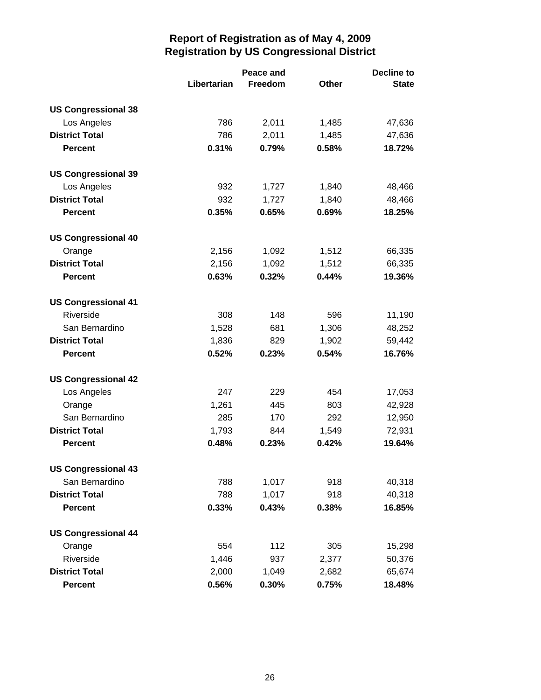|                            |             | Peace and |              | <b>Decline to</b> |  |  |
|----------------------------|-------------|-----------|--------------|-------------------|--|--|
|                            | Libertarian | Freedom   | <b>Other</b> | <b>State</b>      |  |  |
| <b>US Congressional 38</b> |             |           |              |                   |  |  |
| Los Angeles                | 786         | 2,011     | 1,485        | 47,636            |  |  |
| <b>District Total</b>      | 786         | 2,011     | 1,485        | 47,636            |  |  |
| <b>Percent</b>             | 0.31%       | 0.79%     | 0.58%        | 18.72%            |  |  |
| <b>US Congressional 39</b> |             |           |              |                   |  |  |
| Los Angeles                | 932         | 1,727     | 1,840        | 48,466            |  |  |
| <b>District Total</b>      | 932         | 1,727     | 1,840        | 48,466            |  |  |
| <b>Percent</b>             | 0.35%       | 0.65%     | 0.69%        | 18.25%            |  |  |
| <b>US Congressional 40</b> |             |           |              |                   |  |  |
| Orange                     | 2,156       | 1,092     | 1,512        | 66,335            |  |  |
| <b>District Total</b>      | 2,156       | 1,092     | 1,512        | 66,335            |  |  |
| <b>Percent</b>             | 0.63%       | 0.32%     | 0.44%        | 19.36%            |  |  |
| <b>US Congressional 41</b> |             |           |              |                   |  |  |
| Riverside                  | 308         | 148       | 596          | 11,190            |  |  |
| San Bernardino             | 1,528       | 681       | 1,306        | 48,252            |  |  |
| <b>District Total</b>      | 1,836       | 829       | 1,902        | 59,442            |  |  |
| <b>Percent</b>             | 0.52%       | 0.23%     | 0.54%        | 16.76%            |  |  |
| <b>US Congressional 42</b> |             |           |              |                   |  |  |
| Los Angeles                | 247         | 229       | 454          | 17,053            |  |  |
| Orange                     | 1,261       | 445       | 803          | 42,928            |  |  |
| San Bernardino             | 285         | 170       | 292          | 12,950            |  |  |
| <b>District Total</b>      | 1,793       | 844       | 1,549        | 72,931            |  |  |
| <b>Percent</b>             | 0.48%       | 0.23%     | 0.42%        | 19.64%            |  |  |
| <b>US Congressional 43</b> |             |           |              |                   |  |  |
| San Bernardino             | 788         | 1,017     | 918          | 40,318            |  |  |
| <b>District Total</b>      | 788         | 1,017     | 918          | 40,318            |  |  |
| <b>Percent</b>             | 0.33%       | 0.43%     | 0.38%        | 16.85%            |  |  |
| <b>US Congressional 44</b> |             |           |              |                   |  |  |
| Orange                     | 554         | 112       | 305          | 15,298            |  |  |
| Riverside                  | 1,446       | 937       | 2,377        | 50,376            |  |  |
| <b>District Total</b>      | 2,000       | 1,049     | 2,682        | 65,674            |  |  |
| <b>Percent</b>             | 0.56%       | 0.30%     | 0.75%        | 18.48%            |  |  |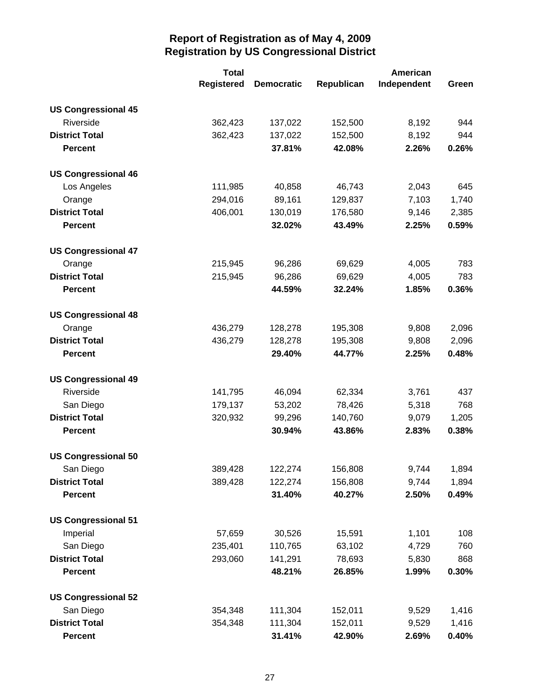|                            | <b>Total</b>      |                   |            | <b>American</b> |       |  |  |
|----------------------------|-------------------|-------------------|------------|-----------------|-------|--|--|
|                            | <b>Registered</b> | <b>Democratic</b> | Republican | Independent     | Green |  |  |
| <b>US Congressional 45</b> |                   |                   |            |                 |       |  |  |
| Riverside                  | 362,423           | 137,022           | 152,500    | 8,192           | 944   |  |  |
| <b>District Total</b>      | 362,423           | 137,022           | 152,500    | 8,192           | 944   |  |  |
| <b>Percent</b>             |                   | 37.81%            | 42.08%     | 2.26%           | 0.26% |  |  |
| <b>US Congressional 46</b> |                   |                   |            |                 |       |  |  |
| Los Angeles                | 111,985           | 40,858            | 46,743     | 2,043           | 645   |  |  |
| Orange                     | 294,016           | 89,161            | 129,837    | 7,103           | 1,740 |  |  |
| <b>District Total</b>      | 406,001           | 130,019           | 176,580    | 9,146           | 2,385 |  |  |
| <b>Percent</b>             |                   | 32.02%            | 43.49%     | 2.25%           | 0.59% |  |  |
| <b>US Congressional 47</b> |                   |                   |            |                 |       |  |  |
| Orange                     | 215,945           | 96,286            | 69,629     | 4,005           | 783   |  |  |
| <b>District Total</b>      | 215,945           | 96,286            | 69,629     | 4,005           | 783   |  |  |
| <b>Percent</b>             |                   | 44.59%            | 32.24%     | 1.85%           | 0.36% |  |  |
| <b>US Congressional 48</b> |                   |                   |            |                 |       |  |  |
| Orange                     | 436,279           | 128,278           | 195,308    | 9,808           | 2,096 |  |  |
| <b>District Total</b>      | 436,279           | 128,278           | 195,308    | 9,808           | 2,096 |  |  |
| <b>Percent</b>             |                   | 29.40%            | 44.77%     | 2.25%           | 0.48% |  |  |
| <b>US Congressional 49</b> |                   |                   |            |                 |       |  |  |
| Riverside                  | 141,795           | 46,094            | 62,334     | 3,761           | 437   |  |  |
| San Diego                  | 179,137           | 53,202            | 78,426     | 5,318           | 768   |  |  |
| <b>District Total</b>      | 320,932           | 99,296            | 140,760    | 9,079           | 1,205 |  |  |
| <b>Percent</b>             |                   | 30.94%            | 43.86%     | 2.83%           | 0.38% |  |  |
| <b>US Congressional 50</b> |                   |                   |            |                 |       |  |  |
| San Diego                  | 389,428           | 122,274           | 156,808    | 9,744           | 1,894 |  |  |
| <b>District Total</b>      | 389,428           | 122,274           | 156,808    | 9,744           | 1,894 |  |  |
| <b>Percent</b>             |                   | 31.40%            | 40.27%     | 2.50%           | 0.49% |  |  |
| <b>US Congressional 51</b> |                   |                   |            |                 |       |  |  |
| Imperial                   | 57,659            | 30,526            | 15,591     | 1,101           | 108   |  |  |
| San Diego                  | 235,401           | 110,765           | 63,102     | 4,729           | 760   |  |  |
| <b>District Total</b>      | 293,060           | 141,291           | 78,693     | 5,830           | 868   |  |  |
| <b>Percent</b>             |                   | 48.21%            | 26.85%     | 1.99%           | 0.30% |  |  |
| <b>US Congressional 52</b> |                   |                   |            |                 |       |  |  |
| San Diego                  | 354,348           | 111,304           | 152,011    | 9,529           | 1,416 |  |  |
| <b>District Total</b>      | 354,348           | 111,304           | 152,011    | 9,529           | 1,416 |  |  |
| <b>Percent</b>             |                   | 31.41%            | 42.90%     | 2.69%           | 0.40% |  |  |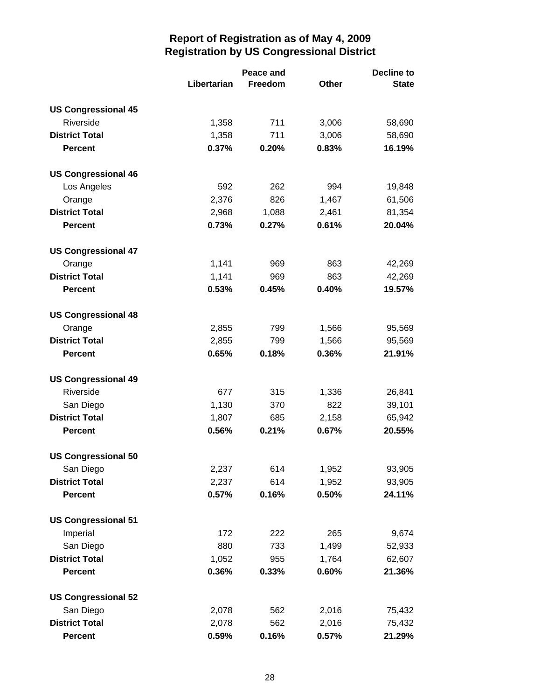|                            | Peace and   |         |              | <b>Decline to</b> |  |
|----------------------------|-------------|---------|--------------|-------------------|--|
|                            | Libertarian | Freedom | <b>Other</b> | <b>State</b>      |  |
| <b>US Congressional 45</b> |             |         |              |                   |  |
| Riverside                  | 1,358       | 711     | 3,006        | 58,690            |  |
| <b>District Total</b>      | 1,358       | 711     | 3,006        | 58,690            |  |
| <b>Percent</b>             | 0.37%       | 0.20%   | 0.83%        | 16.19%            |  |
| <b>US Congressional 46</b> |             |         |              |                   |  |
| Los Angeles                | 592         | 262     | 994          | 19,848            |  |
| Orange                     | 2,376       | 826     | 1,467        | 61,506            |  |
| <b>District Total</b>      | 2,968       | 1,088   | 2,461        | 81,354            |  |
| <b>Percent</b>             | 0.73%       | 0.27%   | 0.61%        | 20.04%            |  |
| <b>US Congressional 47</b> |             |         |              |                   |  |
| Orange                     | 1,141       | 969     | 863          | 42,269            |  |
| <b>District Total</b>      | 1,141       | 969     | 863          | 42,269            |  |
| <b>Percent</b>             | 0.53%       | 0.45%   | 0.40%        | 19.57%            |  |
| <b>US Congressional 48</b> |             |         |              |                   |  |
| Orange                     | 2,855       | 799     | 1,566        | 95,569            |  |
| <b>District Total</b>      | 2,855       | 799     | 1,566        | 95,569            |  |
| <b>Percent</b>             | 0.65%       | 0.18%   | 0.36%        | 21.91%            |  |
| <b>US Congressional 49</b> |             |         |              |                   |  |
| Riverside                  | 677         | 315     | 1,336        | 26,841            |  |
| San Diego                  | 1,130       | 370     | 822          | 39,101            |  |
| <b>District Total</b>      | 1,807       | 685     | 2,158        | 65,942            |  |
| <b>Percent</b>             | 0.56%       | 0.21%   | 0.67%        | 20.55%            |  |
| <b>US Congressional 50</b> |             |         |              |                   |  |
| San Diego                  | 2,237       | 614     | 1,952        | 93,905            |  |
| <b>District Total</b>      | 2,237       | 614     | 1,952        | 93,905            |  |
| <b>Percent</b>             | 0.57%       | 0.16%   | 0.50%        | 24.11%            |  |
| <b>US Congressional 51</b> |             |         |              |                   |  |
| Imperial                   | 172         | 222     | 265          | 9,674             |  |
| San Diego                  | 880         | 733     | 1,499        | 52,933            |  |
| <b>District Total</b>      | 1,052       | 955     | 1,764        | 62,607            |  |
| <b>Percent</b>             | 0.36%       | 0.33%   | 0.60%        | 21.36%            |  |
| <b>US Congressional 52</b> |             |         |              |                   |  |
| San Diego                  | 2,078       | 562     | 2,016        | 75,432            |  |
| <b>District Total</b>      | 2,078       | 562     | 2,016        | 75,432            |  |
| <b>Percent</b>             | 0.59%       | 0.16%   | 0.57%        | 21.29%            |  |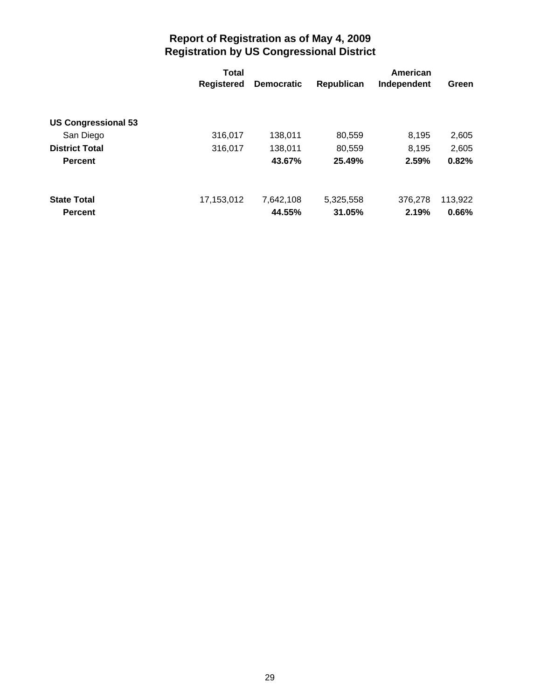|                            | <b>Total</b>      |                   |            |             |         |
|----------------------------|-------------------|-------------------|------------|-------------|---------|
|                            | <b>Registered</b> | <b>Democratic</b> | Republican | Independent | Green   |
|                            |                   |                   |            |             |         |
| <b>US Congressional 53</b> |                   |                   |            |             |         |
| San Diego                  | 316,017           | 138,011           | 80,559     | 8,195       | 2,605   |
| <b>District Total</b>      | 316,017           | 138,011           | 80,559     | 8,195       | 2,605   |
| <b>Percent</b>             |                   | 43.67%            | 25.49%     | 2.59%       | 0.82%   |
|                            |                   |                   |            |             |         |
| <b>State Total</b>         | 17,153,012        | 7,642,108         | 5,325,558  | 376,278     | 113,922 |
| <b>Percent</b>             |                   | 44.55%            | 31.05%     | 2.19%       | 0.66%   |